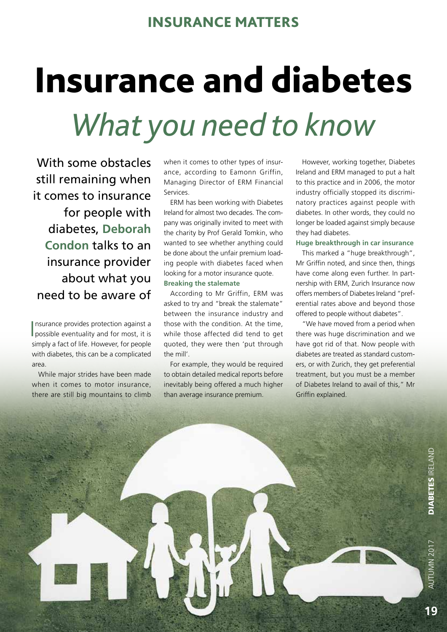# INSURANCE MATTERS

# Insurance and diabetes *What you need to know*

With some obstacles still remaining when it comes to insurance for people with diabetes, **Deborah Condon** talks to an insurance provider about what you need to be aware of

I possible eventuality and for most, it is nsurance provides protection against a simply a fact of life. However, for people with diabetes, this can be a complicated area.

While major strides have been made when it comes to motor insurance, there are still big mountains to climb

when it comes to other types of insurance, according to Eamonn Griffin, Managing Director of ERM Financial Services.

ERM has been working with Diabetes Ireland for almost two decades. The company was originally invited to meet with the charity by Prof Gerald Tomkin, who wanted to see whether anything could be done about the unfair premium loading people with diabetes faced when looking for a motor insurance quote. **Breaking the stalemate**

According to Mr Griffin, ERM was asked to try and "break the stalemate" between the insurance industry and those with the condition. At the time, while those affected did tend to get quoted, they were then 'put through the mill'.

For example, they would be required to obtain detailed medical reports before inevitably being offered a much higher than average insurance premium.

However, working together, Diabetes Ireland and ERM managed to put a halt to this practice and in 2006, the motor industry officially stopped its discriminatory practices against people with diabetes. In other words, they could no longer be loaded against simply because they had diabetes.

## **Huge breakthrough in car insurance**

This marked a "huge breakthrough", Mr Griffin noted, and since then, things have come along even further. In partnership with ERM, Zurich Insurance now offers members of Diabetes Ireland "preferential rates above and beyond those offered to people without diabetes".

"We have moved from a period when there was huge discrimination and we have got rid of that. Now people with diabetes are treated as standard customers, or with Zurich, they get preferential treatment, but you must be a member of Diabetes Ireland to avail of this," Mr Griffin explained.

**AUTUMN 2017**